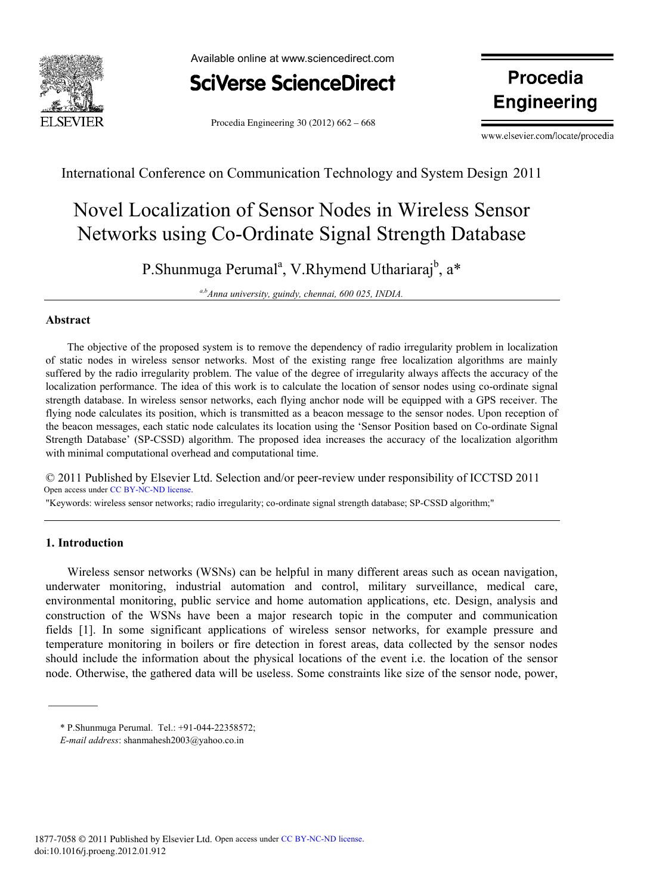

Procedia Engineering 30 (2012) 662 – 668



www.elsevier.com/locate/procedia

International Conference on Communication Technology and System Design 2011

# Novel Localization of Sensor Nodes in Wireless Sensor Networks using Co-Ordinate Signal Strength Database

P. Shunmuga Perumal<sup>a</sup>, V. Rhymend Uthariaraj<sup>b</sup>, a\*

*a,bAnna university, guindy, chennai, 600 025, INDIA.*

# **Abstract**

The objective of the proposed system is to remove the dependency of radio irregularity problem in localization of static nodes in wireless sensor networks. Most of the existing range free localization algorithms are mainly suffered by the radio irregularity problem. The value of the degree of irregularity always affects the accuracy of the localization performance. The idea of this work is to calculate the location of sensor nodes using co-ordinate signal strength database. In wireless sensor networks, each flying anchor node will be equipped with a GPS receiver. The flying node calculates its position, which is transmitted as a beacon message to the sensor nodes. Upon reception of the beacon messages, each static node calculates its location using the "Sensor Position based on Co-ordinate Signal Strength Database" (SP-CSSD) algorithm. The proposed idea increases the accuracy of the localization algorithm with minimal computational overhead and computational time.

© 2011 Published by Elsevier Ltd. Selection and/or peer-review under responsibility of ICCTSD 2011 Open access under CC BY-NC-ND license.

"Keywords: wireless sensor networks; radio irregularity; co-ordinate signal strength database; SP-CSSD algorithm;"

# **1. Introduction**

Wireless sensor networks (WSNs) can be helpful in many different areas such as ocean navigation, underwater monitoring, industrial automation and control, military surveillance, medical care, environmental monitoring, public service and home automation applications, etc. Design, analysis and construction of the WSNs have been a major research topic in the computer and communication fields [1]. In some significant applications of wireless sensor networks, for example pressure and temperature monitoring in boilers or fire detection in forest areas, data collected by the sensor nodes should include the information about the physical locations of the event i.e. the location of the sensor node. Otherwise, the gathered data will be useless. Some constraints like size of the sensor node, power,

<sup>\*</sup> P.Shunmuga Perumal. Tel.: +91-044-22358572;

*E-mail address*: shanmahesh2003@yahoo.co.in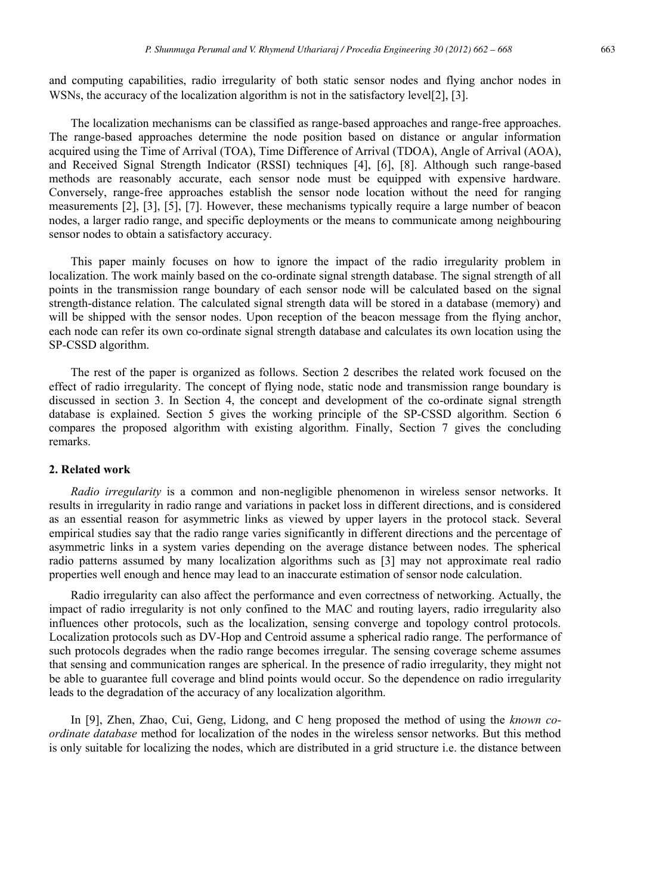and computing capabilities, radio irregularity of both static sensor nodes and flying anchor nodes in WSNs, the accuracy of the localization algorithm is not in the satisfactory level[2], [3].

The localization mechanisms can be classified as range-based approaches and range-free approaches. The range-based approaches determine the node position based on distance or angular information acquired using the Time of Arrival (TOA), Time Difference of Arrival (TDOA), Angle of Arrival (AOA), and Received Signal Strength Indicator (RSSI) techniques [4], [6], [8]. Although such range-based methods are reasonably accurate, each sensor node must be equipped with expensive hardware. Conversely, range-free approaches establish the sensor node location without the need for ranging measurements [2], [3], [5], [7]. However, these mechanisms typically require a large number of beacon nodes, a larger radio range, and specific deployments or the means to communicate among neighbouring sensor nodes to obtain a satisfactory accuracy.

This paper mainly focuses on how to ignore the impact of the radio irregularity problem in localization. The work mainly based on the co-ordinate signal strength database. The signal strength of all points in the transmission range boundary of each sensor node will be calculated based on the signal strength-distance relation. The calculated signal strength data will be stored in a database (memory) and will be shipped with the sensor nodes. Upon reception of the beacon message from the flying anchor, each node can refer its own co-ordinate signal strength database and calculates its own location using the SP-CSSD algorithm.

The rest of the paper is organized as follows. Section 2 describes the related work focused on the effect of radio irregularity. The concept of flying node, static node and transmission range boundary is discussed in section 3. In Section 4, the concept and development of the co-ordinate signal strength database is explained. Section 5 gives the working principle of the SP-CSSD algorithm. Section 6 compares the proposed algorithm with existing algorithm. Finally, Section 7 gives the concluding remarks.

#### **2. Related work**

*Radio irregularity* is a common and non-negligible phenomenon in wireless sensor networks. It results in irregularity in radio range and variations in packet loss in different directions, and is considered as an essential reason for asymmetric links as viewed by upper layers in the protocol stack. Several empirical studies say that the radio range varies significantly in different directions and the percentage of asymmetric links in a system varies depending on the average distance between nodes. The spherical radio patterns assumed by many localization algorithms such as [3] may not approximate real radio properties well enough and hence may lead to an inaccurate estimation of sensor node calculation.

Radio irregularity can also affect the performance and even correctness of networking. Actually, the impact of radio irregularity is not only confined to the MAC and routing layers, radio irregularity also influences other protocols, such as the localization, sensing converge and topology control protocols. Localization protocols such as DV-Hop and Centroid assume a spherical radio range. The performance of such protocols degrades when the radio range becomes irregular. The sensing coverage scheme assumes that sensing and communication ranges are spherical. In the presence of radio irregularity, they might not be able to guarantee full coverage and blind points would occur. So the dependence on radio irregularity leads to the degradation of the accuracy of any localization algorithm.

In [9], Zhen, Zhao, Cui, Geng, Lidong, and C heng proposed the method of using the *known coordinate database* method for localization of the nodes in the wireless sensor networks. But this method is only suitable for localizing the nodes, which are distributed in a grid structure i.e. the distance between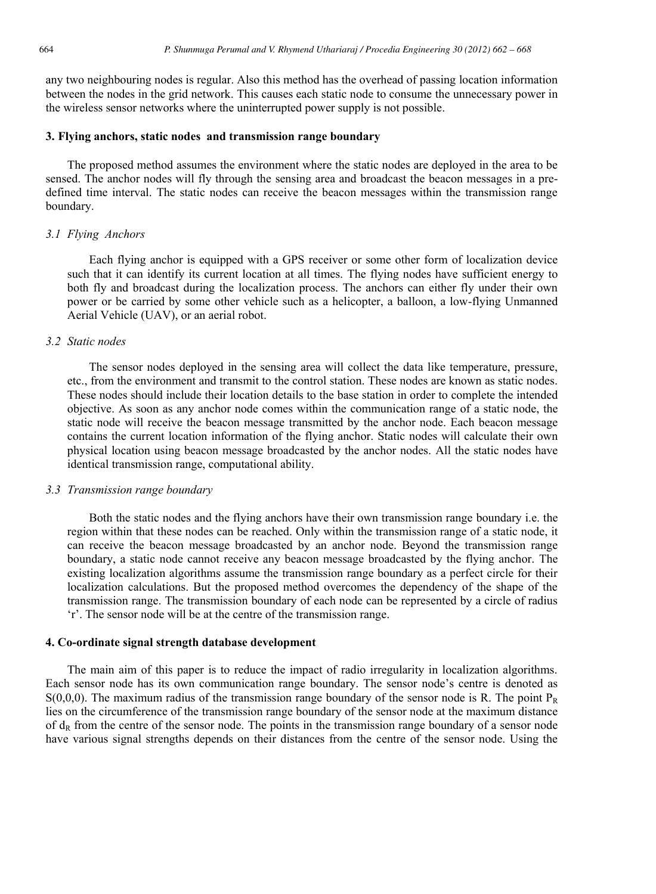any two neighbouring nodes is regular. Also this method has the overhead of passing location information between the nodes in the grid network. This causes each static node to consume the unnecessary power in the wireless sensor networks where the uninterrupted power supply is not possible.

#### **3. Flying anchors, static nodes and transmission range boundary**

The proposed method assumes the environment where the static nodes are deployed in the area to be sensed. The anchor nodes will fly through the sensing area and broadcast the beacon messages in a predefined time interval. The static nodes can receive the beacon messages within the transmission range boundary.

#### *3.1 Flying Anchors*

Each flying anchor is equipped with a GPS receiver or some other form of localization device such that it can identify its current location at all times. The flying nodes have sufficient energy to both fly and broadcast during the localization process. The anchors can either fly under their own power or be carried by some other vehicle such as a helicopter, a balloon, a low-flying Unmanned Aerial Vehicle (UAV), or an aerial robot.

# *3.2 Static nodes*

The sensor nodes deployed in the sensing area will collect the data like temperature, pressure, etc., from the environment and transmit to the control station. These nodes are known as static nodes. These nodes should include their location details to the base station in order to complete the intended objective. As soon as any anchor node comes within the communication range of a static node, the static node will receive the beacon message transmitted by the anchor node. Each beacon message contains the current location information of the flying anchor. Static nodes will calculate their own physical location using beacon message broadcasted by the anchor nodes. All the static nodes have identical transmission range, computational ability.

# *3.3 Transmission range boundary*

Both the static nodes and the flying anchors have their own transmission range boundary i.e. the region within that these nodes can be reached. Only within the transmission range of a static node, it can receive the beacon message broadcasted by an anchor node. Beyond the transmission range boundary, a static node cannot receive any beacon message broadcasted by the flying anchor. The existing localization algorithms assume the transmission range boundary as a perfect circle for their localization calculations. But the proposed method overcomes the dependency of the shape of the transmission range. The transmission boundary of each node can be represented by a circle of radius "r". The sensor node will be at the centre of the transmission range.

#### **4. Co-ordinate signal strength database development**

The main aim of this paper is to reduce the impact of radio irregularity in localization algorithms. Each sensor node has its own communication range boundary. The sensor node"s centre is denoted as  $S(0,0,0)$ . The maximum radius of the transmission range boundary of the sensor node is R. The point  $P_R$ lies on the circumference of the transmission range boundary of the sensor node at the maximum distance of  $d_R$  from the centre of the sensor node. The points in the transmission range boundary of a sensor node have various signal strengths depends on their distances from the centre of the sensor node. Using the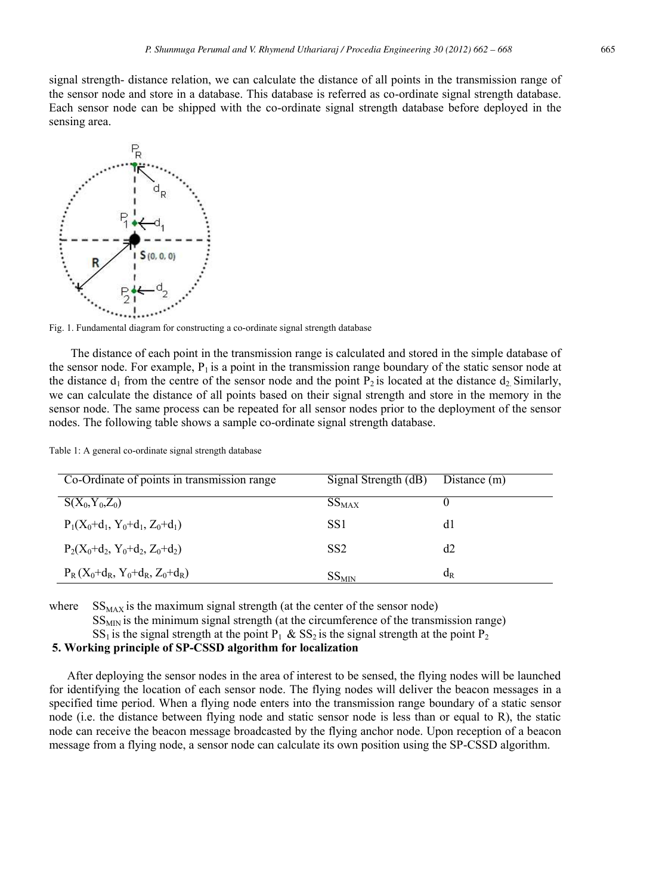signal strength- distance relation, we can calculate the distance of all points in the transmission range of the sensor node and store in a database. This database is referred as co-ordinate signal strength database. Each sensor node can be shipped with the co-ordinate signal strength database before deployed in the sensing area.



Fig. 1. Fundamental diagram for constructing a co-ordinate signal strength database

The distance of each point in the transmission range is calculated and stored in the simple database of the sensor node. For example,  $P_1$  is a point in the transmission range boundary of the static sensor node at the distance  $d_1$  from the centre of the sensor node and the point P<sub>2</sub> is located at the distance  $d_2$ . Similarly, we can calculate the distance of all points based on their signal strength and store in the memory in the sensor node. The same process can be repeated for all sensor nodes prior to the deployment of the sensor nodes. The following table shows a sample co-ordinate signal strength database.

| Co-Ordinate of points in transmission range | Signal Strength (dB) | Distance (m) |
|---------------------------------------------|----------------------|--------------|
| $S(X_0,Y_0,Z_0)$                            | $SS_{MAX}$           | O            |
| $P_1(X_0+d_1, Y_0+d_1, Z_0+d_1)$            | SS <sub>1</sub>      | d1           |
| $P_2(X_0+d_2, Y_0+d_2, Z_0+d_2)$            | SS <sub>2</sub>      | d2           |
| $P_R(X_0+d_R, Y_0+d_R, Z_0+d_R)$            | $SS_{MIN}$           | $d_{R}$      |

Table 1: A general co-ordinate signal strength database

where  $SS_{MAX}$  is the maximum signal strength (at the center of the sensor node)

 $SS<sub>MIN</sub>$  is the minimum signal strength (at the circumference of the transmission range)

 $SS_1$  is the signal strength at the point  $P_1 \& SS_2$  is the signal strength at the point  $P_2$ 

# **5. Working principle of SP-CSSD algorithm for localization**

 After deploying the sensor nodes in the area of interest to be sensed, the flying nodes will be launched for identifying the location of each sensor node. The flying nodes will deliver the beacon messages in a specified time period. When a flying node enters into the transmission range boundary of a static sensor node (i.e. the distance between flying node and static sensor node is less than or equal to R), the static node can receive the beacon message broadcasted by the flying anchor node. Upon reception of a beacon message from a flying node, a sensor node can calculate its own position using the SP-CSSD algorithm.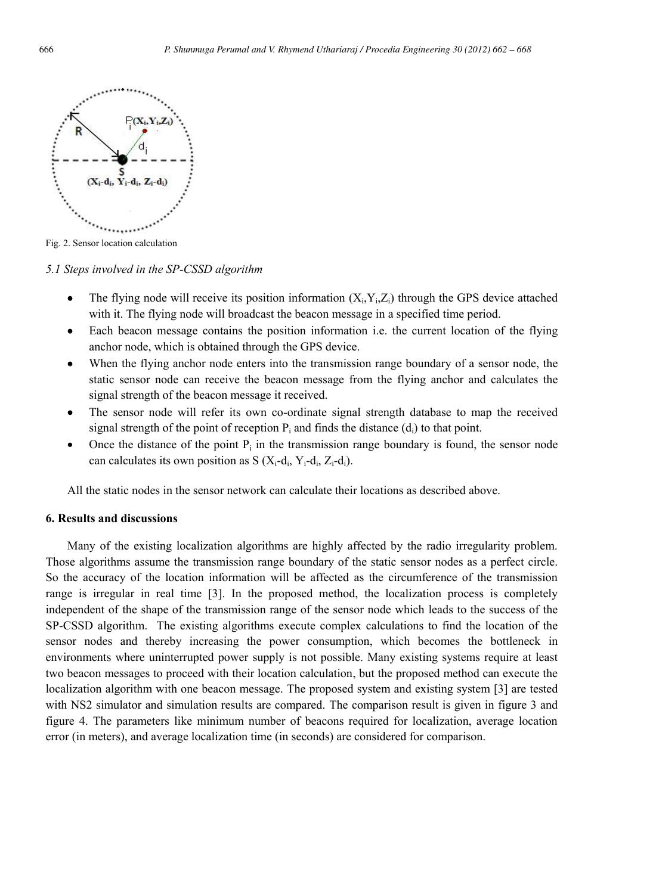

Fig. 2. Sensor location calculation

*5.1 Steps involved in the SP-CSSD algorithm*

- The flying node will receive its position information  $(X_i, Y_i, Z_i)$  through the GPS device attached with it. The flying node will broadcast the beacon message in a specified time period.
- Each beacon message contains the position information i.e. the current location of the flying anchor node, which is obtained through the GPS device.
- When the flying anchor node enters into the transmission range boundary of a sensor node, the static sensor node can receive the beacon message from the flying anchor and calculates the signal strength of the beacon message it received.
- The sensor node will refer its own co-ordinate signal strength database to map the received signal strength of the point of reception  $P_i$  and finds the distance  $(d_i)$  to that point.
- Once the distance of the point  $P_i$  in the transmission range boundary is found, the sensor node can calculates its own position as  $S(X_i-d_i, Y_i-d_i, Z_i-d_i)$ .

All the static nodes in the sensor network can calculate their locations as described above.

# **6. Results and discussions**

Many of the existing localization algorithms are highly affected by the radio irregularity problem. Those algorithms assume the transmission range boundary of the static sensor nodes as a perfect circle. So the accuracy of the location information will be affected as the circumference of the transmission range is irregular in real time [3]. In the proposed method, the localization process is completely independent of the shape of the transmission range of the sensor node which leads to the success of the SP-CSSD algorithm. The existing algorithms execute complex calculations to find the location of the sensor nodes and thereby increasing the power consumption, which becomes the bottleneck in environments where uninterrupted power supply is not possible. Many existing systems require at least two beacon messages to proceed with their location calculation, but the proposed method can execute the localization algorithm with one beacon message. The proposed system and existing system [3] are tested with NS2 simulator and simulation results are compared. The comparison result is given in figure 3 and figure 4. The parameters like minimum number of beacons required for localization, average location error (in meters), and average localization time (in seconds) are considered for comparison.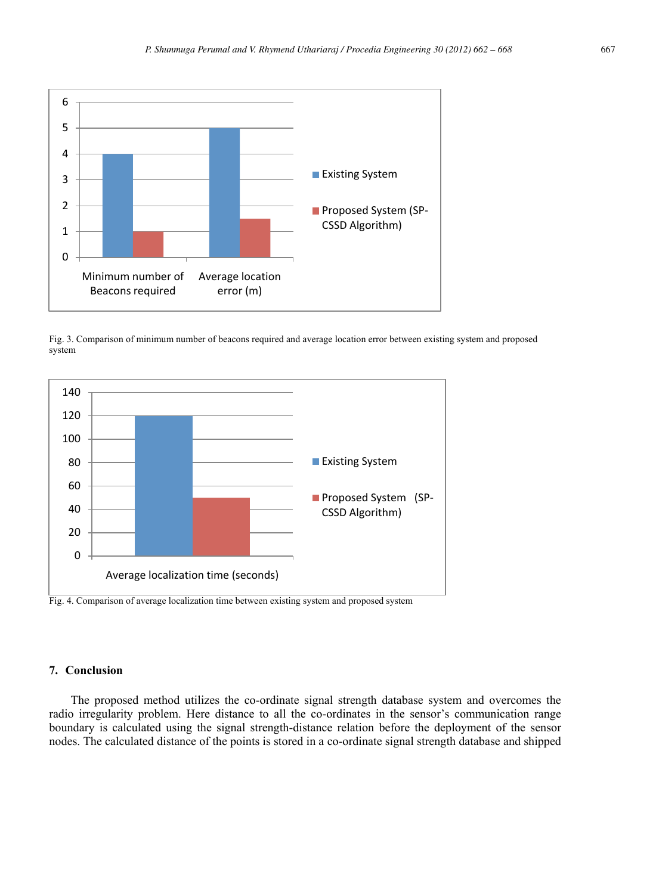

Fig. 3. Comparison of minimum number of beacons required and average location error between existing system and proposed system



#### **7. Conclusion**

The proposed method utilizes the co-ordinate signal strength database system and overcomes the radio irregularity problem. Here distance to all the co-ordinates in the sensor's communication range boundary is calculated using the signal strength-distance relation before the deployment of the sensor nodes. The calculated distance of the points is stored in a co-ordinate signal strength database and shipped